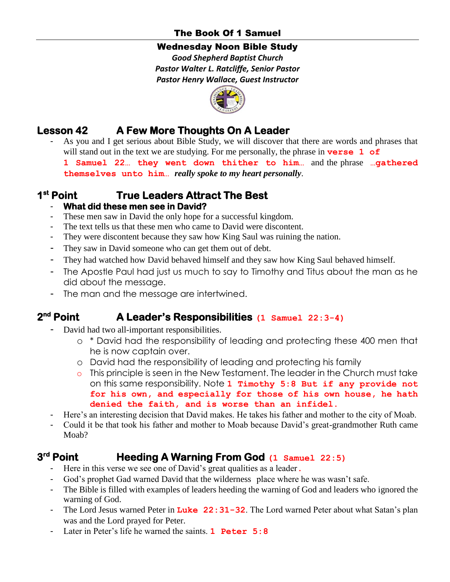# The Book Of 1 Samuel

### Wednesday Noon Bible Study

*Good Shepherd Baptist Church Pastor Walter L. Ratcliffe, Senior Pastor Pastor Henry Wallace, Guest Instructor*



# **Lesson 42 A Few More Thoughts On A Leader**

As you and I get serious about Bible Study, we will discover that there are words and phrases that will stand out in the text we are studying. For me personally, the phrase in **verse 1 of 1 Samuel 22… they went down thither to him…** and the phrase **…gathered themselves unto him…** *really spoke to my heart personally*.

#### **1 st True Leaders Attract The Best**

## - **What did these men see in David?**

- These men saw in David the only hope for a successful kingdom.
- The text tells us that these men who came to David were discontent.
- They were discontent because they saw how King Saul was ruining the nation.
- They saw in David someone who can get them out of debt.
- They had watched how David behaved himself and they saw how King Saul behaved himself.
- The Apostle Paul had just us much to say to Timothy and Titus about the man as he did about the message.
- The man and the message are intertwined.

#### **2 nd Point A Leader's Responsibilities (1 Samuel 22:3-4)**

- David had two all-important responsibilities.
	- o \* David had the responsibility of leading and protecting these 400 men that he is now captain over.
	- o David had the responsibility of leading and protecting his family
	- o This principle is seen in the New Testament. The leader in the Church must take on this same responsibility. Note **1 Timothy 5:8 But if any provide not for his own, and especially for those of his own house, he hath denied the faith, and is worse than an infidel.**
- Here's an interesting decision that David makes. He takes his father and mother to the city of Moab.
- Could it be that took his father and mother to Moab because David's great-grandmother Ruth came Moa<sub>b</sub>?

#### **3 rd Heeding A Warning From God** (1 Samuel 22:5)

- Here in this verse we see one of David's great qualities as a leader.
- God's prophet Gad warned David that the wilderness place where he was wasn't safe.
- The Bible is filled with examples of leaders heeding the warning of God and leaders who ignored the warning of God.
- The Lord Jesus warned Peter in Luke 22:31-32. The Lord warned Peter about what Satan's plan was and the Lord prayed for Peter.
- Later in Peter's life he warned the saints. **1 Peter 5:8**